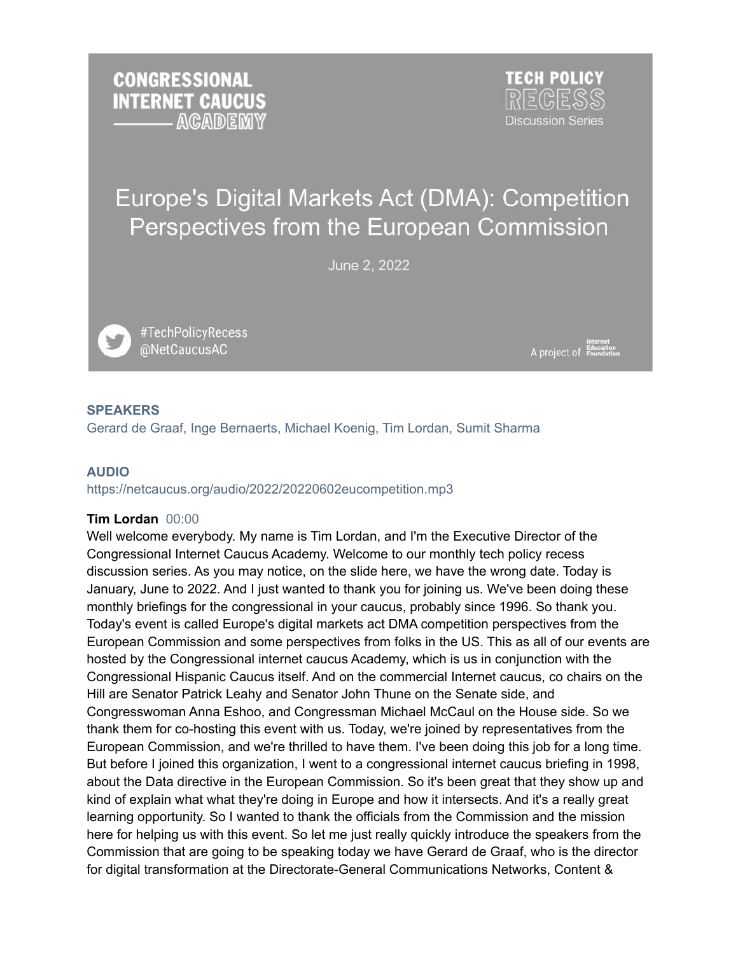**CONGRESSIONAL INTERNET CAUCUS ACADEMY**  **TECH POLICY Discussion Series** 

# Europe's Digital Markets Act (DMA): Competition Perspectives from the European Commission

June 2, 2022

#TechPolicyRecess @NetCaucusAC

Internet<br>A project of Education

## **SPEAKERS**

Gerard de Graaf, Inge Bernaerts, Michael Koenig, Tim Lordan, Sumit Sharma

#### **AUDIO**

https://netcaucus.org/audio/2022/20220602eucompetition.mp3

#### **Tim Lordan** 00:00

Well welcome everybody. My name is Tim Lordan, and I'm the Executive Director of the Congressional Internet Caucus Academy. Welcome to our monthly tech policy recess discussion series. As you may notice, on the slide here, we have the wrong date. Today is January, June to 2022. And I just wanted to thank you for joining us. We've been doing these monthly briefings for the congressional in your caucus, probably since 1996. So thank you. Today's event is called Europe's digital markets act DMA competition perspectives from the European Commission and some perspectives from folks in the US. This as all of our events are hosted by the Congressional internet caucus Academy, which is us in conjunction with the Congressional Hispanic Caucus itself. And on the commercial Internet caucus, co chairs on the Hill are Senator Patrick Leahy and Senator John Thune on the Senate side, and Congresswoman Anna Eshoo, and Congressman Michael McCaul on the House side. So we thank them for co-hosting this event with us. Today, we're joined by representatives from the European Commission, and we're thrilled to have them. I've been doing this job for a long time. But before I joined this organization, I went to a congressional internet caucus briefing in 1998, about the Data directive in the European Commission. So it's been great that they show up and kind of explain what what they're doing in Europe and how it intersects. And it's a really great learning opportunity. So I wanted to thank the officials from the Commission and the mission here for helping us with this event. So let me just really quickly introduce the speakers from the Commission that are going to be speaking today we have Gerard de Graaf, who is the director for digital transformation at the Directorate-General Communications Networks, Content &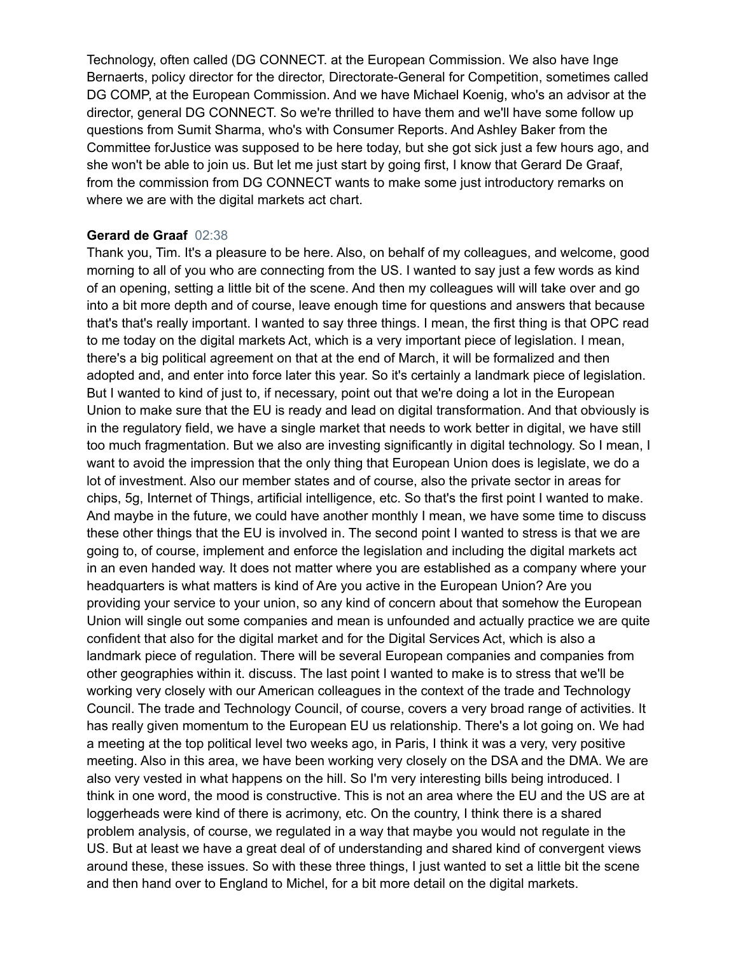Technology, often called (DG CONNECT. at the European Commission. We also have Inge Bernaerts, policy director for the director, Directorate-General for Competition, sometimes called DG COMP, at the European Commission. And we have Michael Koenig, who's an advisor at the director, general DG CONNECT. So we're thrilled to have them and we'll have some follow up questions from Sumit Sharma, who's with Consumer Reports. And Ashley Baker from the Committee forJustice was supposed to be here today, but she got sick just a few hours ago, and she won't be able to join us. But let me just start by going first, I know that Gerard De Graaf, from the commission from DG CONNECT wants to make some just introductory remarks on where we are with the digital markets act chart.

#### **Gerard de Graaf** 02:38

Thank you, Tim. It's a pleasure to be here. Also, on behalf of my colleagues, and welcome, good morning to all of you who are connecting from the US. I wanted to say just a few words as kind of an opening, setting a little bit of the scene. And then my colleagues will will take over and go into a bit more depth and of course, leave enough time for questions and answers that because that's that's really important. I wanted to say three things. I mean, the first thing is that OPC read to me today on the digital markets Act, which is a very important piece of legislation. I mean, there's a big political agreement on that at the end of March, it will be formalized and then adopted and, and enter into force later this year. So it's certainly a landmark piece of legislation. But I wanted to kind of just to, if necessary, point out that we're doing a lot in the European Union to make sure that the EU is ready and lead on digital transformation. And that obviously is in the regulatory field, we have a single market that needs to work better in digital, we have still too much fragmentation. But we also are investing significantly in digital technology. So I mean, I want to avoid the impression that the only thing that European Union does is legislate, we do a lot of investment. Also our member states and of course, also the private sector in areas for chips, 5g, Internet of Things, artificial intelligence, etc. So that's the first point I wanted to make. And maybe in the future, we could have another monthly I mean, we have some time to discuss these other things that the EU is involved in. The second point I wanted to stress is that we are going to, of course, implement and enforce the legislation and including the digital markets act in an even handed way. It does not matter where you are established as a company where your headquarters is what matters is kind of Are you active in the European Union? Are you providing your service to your union, so any kind of concern about that somehow the European Union will single out some companies and mean is unfounded and actually practice we are quite confident that also for the digital market and for the Digital Services Act, which is also a landmark piece of regulation. There will be several European companies and companies from other geographies within it. discuss. The last point I wanted to make is to stress that we'll be working very closely with our American colleagues in the context of the trade and Technology Council. The trade and Technology Council, of course, covers a very broad range of activities. It has really given momentum to the European EU us relationship. There's a lot going on. We had a meeting at the top political level two weeks ago, in Paris, I think it was a very, very positive meeting. Also in this area, we have been working very closely on the DSA and the DMA. We are also very vested in what happens on the hill. So I'm very interesting bills being introduced. I think in one word, the mood is constructive. This is not an area where the EU and the US are at loggerheads were kind of there is acrimony, etc. On the country, I think there is a shared problem analysis, of course, we regulated in a way that maybe you would not regulate in the US. But at least we have a great deal of of understanding and shared kind of convergent views around these, these issues. So with these three things, I just wanted to set a little bit the scene and then hand over to England to Michel, for a bit more detail on the digital markets.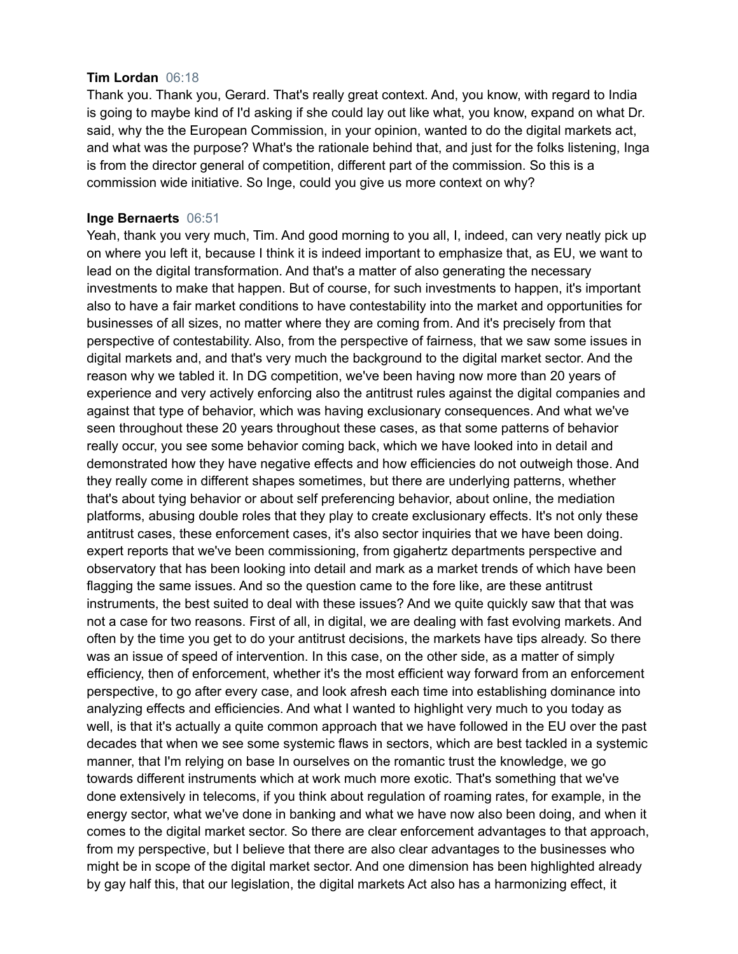#### **Tim Lordan** 06:18

Thank you. Thank you, Gerard. That's really great context. And, you know, with regard to India is going to maybe kind of I'd asking if she could lay out like what, you know, expand on what Dr. said, why the the European Commission, in your opinion, wanted to do the digital markets act, and what was the purpose? What's the rationale behind that, and just for the folks listening, Inga is from the director general of competition, different part of the commission. So this is a commission wide initiative. So Inge, could you give us more context on why?

#### **Inge Bernaerts** 06:51

Yeah, thank you very much, Tim. And good morning to you all, I, indeed, can very neatly pick up on where you left it, because I think it is indeed important to emphasize that, as EU, we want to lead on the digital transformation. And that's a matter of also generating the necessary investments to make that happen. But of course, for such investments to happen, it's important also to have a fair market conditions to have contestability into the market and opportunities for businesses of all sizes, no matter where they are coming from. And it's precisely from that perspective of contestability. Also, from the perspective of fairness, that we saw some issues in digital markets and, and that's very much the background to the digital market sector. And the reason why we tabled it. In DG competition, we've been having now more than 20 years of experience and very actively enforcing also the antitrust rules against the digital companies and against that type of behavior, which was having exclusionary consequences. And what we've seen throughout these 20 years throughout these cases, as that some patterns of behavior really occur, you see some behavior coming back, which we have looked into in detail and demonstrated how they have negative effects and how efficiencies do not outweigh those. And they really come in different shapes sometimes, but there are underlying patterns, whether that's about tying behavior or about self preferencing behavior, about online, the mediation platforms, abusing double roles that they play to create exclusionary effects. It's not only these antitrust cases, these enforcement cases, it's also sector inquiries that we have been doing. expert reports that we've been commissioning, from gigahertz departments perspective and observatory that has been looking into detail and mark as a market trends of which have been flagging the same issues. And so the question came to the fore like, are these antitrust instruments, the best suited to deal with these issues? And we quite quickly saw that that was not a case for two reasons. First of all, in digital, we are dealing with fast evolving markets. And often by the time you get to do your antitrust decisions, the markets have tips already. So there was an issue of speed of intervention. In this case, on the other side, as a matter of simply efficiency, then of enforcement, whether it's the most efficient way forward from an enforcement perspective, to go after every case, and look afresh each time into establishing dominance into analyzing effects and efficiencies. And what I wanted to highlight very much to you today as well, is that it's actually a quite common approach that we have followed in the EU over the past decades that when we see some systemic flaws in sectors, which are best tackled in a systemic manner, that I'm relying on base In ourselves on the romantic trust the knowledge, we go towards different instruments which at work much more exotic. That's something that we've done extensively in telecoms, if you think about regulation of roaming rates, for example, in the energy sector, what we've done in banking and what we have now also been doing, and when it comes to the digital market sector. So there are clear enforcement advantages to that approach, from my perspective, but I believe that there are also clear advantages to the businesses who might be in scope of the digital market sector. And one dimension has been highlighted already by gay half this, that our legislation, the digital markets Act also has a harmonizing effect, it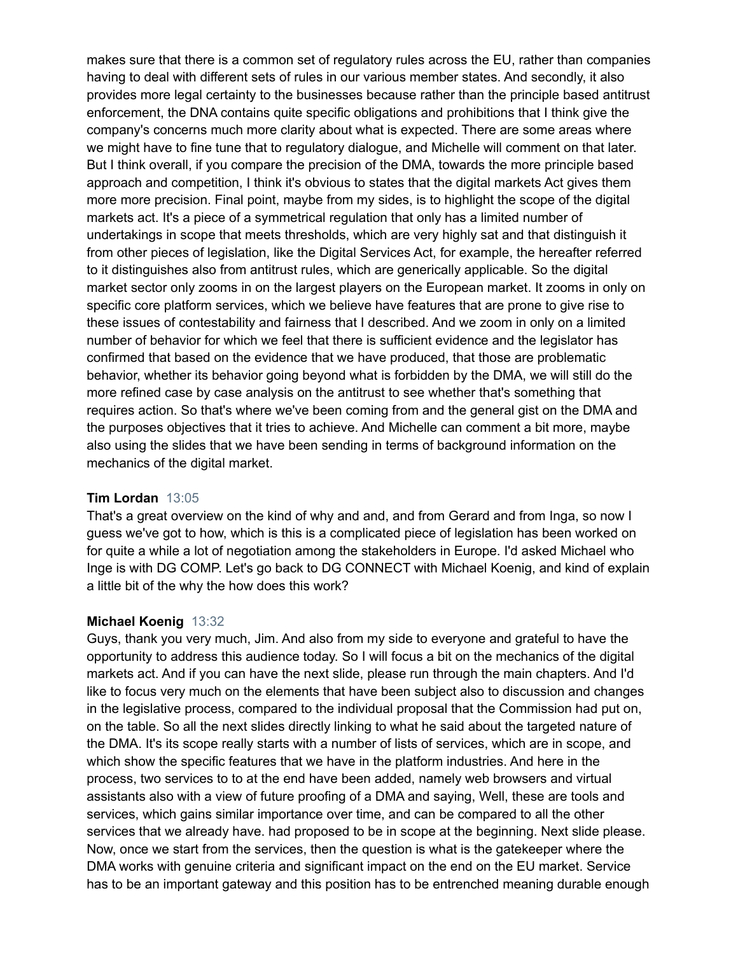makes sure that there is a common set of regulatory rules across the EU, rather than companies having to deal with different sets of rules in our various member states. And secondly, it also provides more legal certainty to the businesses because rather than the principle based antitrust enforcement, the DNA contains quite specific obligations and prohibitions that I think give the company's concerns much more clarity about what is expected. There are some areas where we might have to fine tune that to regulatory dialogue, and Michelle will comment on that later. But I think overall, if you compare the precision of the DMA, towards the more principle based approach and competition, I think it's obvious to states that the digital markets Act gives them more more precision. Final point, maybe from my sides, is to highlight the scope of the digital markets act. It's a piece of a symmetrical regulation that only has a limited number of undertakings in scope that meets thresholds, which are very highly sat and that distinguish it from other pieces of legislation, like the Digital Services Act, for example, the hereafter referred to it distinguishes also from antitrust rules, which are generically applicable. So the digital market sector only zooms in on the largest players on the European market. It zooms in only on specific core platform services, which we believe have features that are prone to give rise to these issues of contestability and fairness that I described. And we zoom in only on a limited number of behavior for which we feel that there is sufficient evidence and the legislator has confirmed that based on the evidence that we have produced, that those are problematic behavior, whether its behavior going beyond what is forbidden by the DMA, we will still do the more refined case by case analysis on the antitrust to see whether that's something that requires action. So that's where we've been coming from and the general gist on the DMA and the purposes objectives that it tries to achieve. And Michelle can comment a bit more, maybe also using the slides that we have been sending in terms of background information on the mechanics of the digital market.

## **Tim Lordan** 13:05

That's a great overview on the kind of why and and, and from Gerard and from Inga, so now I guess we've got to how, which is this is a complicated piece of legislation has been worked on for quite a while a lot of negotiation among the stakeholders in Europe. I'd asked Michael who Inge is with DG COMP. Let's go back to DG CONNECT with Michael Koenig, and kind of explain a little bit of the why the how does this work?

#### **Michael Koenig** 13:32

Guys, thank you very much, Jim. And also from my side to everyone and grateful to have the opportunity to address this audience today. So I will focus a bit on the mechanics of the digital markets act. And if you can have the next slide, please run through the main chapters. And I'd like to focus very much on the elements that have been subject also to discussion and changes in the legislative process, compared to the individual proposal that the Commission had put on, on the table. So all the next slides directly linking to what he said about the targeted nature of the DMA. It's its scope really starts with a number of lists of services, which are in scope, and which show the specific features that we have in the platform industries. And here in the process, two services to to at the end have been added, namely web browsers and virtual assistants also with a view of future proofing of a DMA and saying, Well, these are tools and services, which gains similar importance over time, and can be compared to all the other services that we already have. had proposed to be in scope at the beginning. Next slide please. Now, once we start from the services, then the question is what is the gatekeeper where the DMA works with genuine criteria and significant impact on the end on the EU market. Service has to be an important gateway and this position has to be entrenched meaning durable enough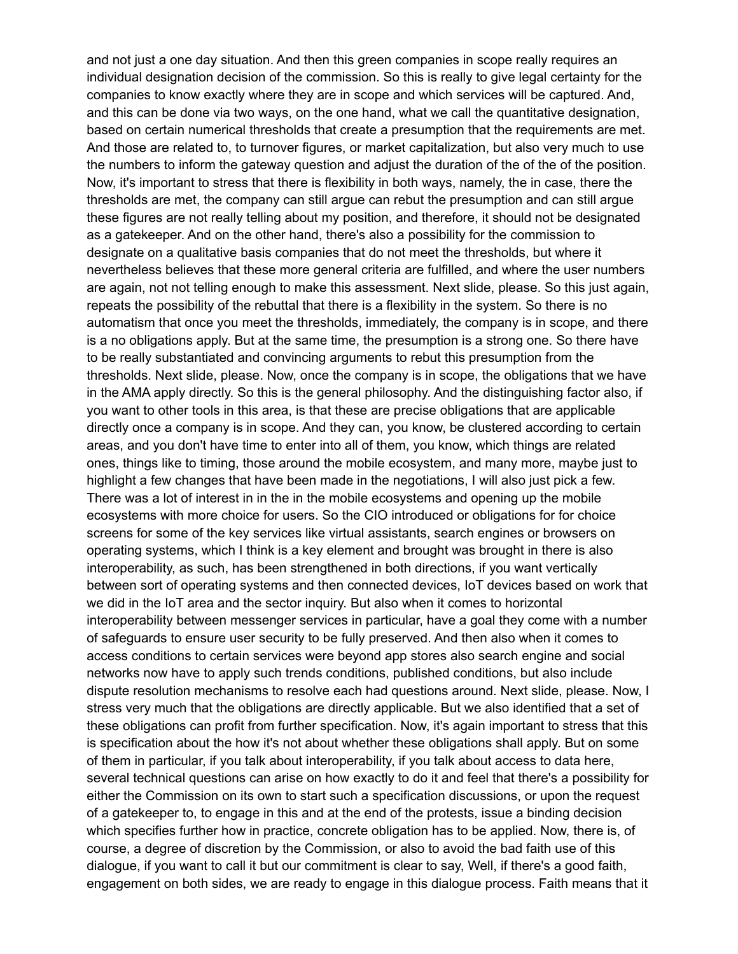and not just a one day situation. And then this green companies in scope really requires an individual designation decision of the commission. So this is really to give legal certainty for the companies to know exactly where they are in scope and which services will be captured. And, and this can be done via two ways, on the one hand, what we call the quantitative designation, based on certain numerical thresholds that create a presumption that the requirements are met. And those are related to, to turnover figures, or market capitalization, but also very much to use the numbers to inform the gateway question and adjust the duration of the of the of the position. Now, it's important to stress that there is flexibility in both ways, namely, the in case, there the thresholds are met, the company can still argue can rebut the presumption and can still argue these figures are not really telling about my position, and therefore, it should not be designated as a gatekeeper. And on the other hand, there's also a possibility for the commission to designate on a qualitative basis companies that do not meet the thresholds, but where it nevertheless believes that these more general criteria are fulfilled, and where the user numbers are again, not not telling enough to make this assessment. Next slide, please. So this just again, repeats the possibility of the rebuttal that there is a flexibility in the system. So there is no automatism that once you meet the thresholds, immediately, the company is in scope, and there is a no obligations apply. But at the same time, the presumption is a strong one. So there have to be really substantiated and convincing arguments to rebut this presumption from the thresholds. Next slide, please. Now, once the company is in scope, the obligations that we have in the AMA apply directly. So this is the general philosophy. And the distinguishing factor also, if you want to other tools in this area, is that these are precise obligations that are applicable directly once a company is in scope. And they can, you know, be clustered according to certain areas, and you don't have time to enter into all of them, you know, which things are related ones, things like to timing, those around the mobile ecosystem, and many more, maybe just to highlight a few changes that have been made in the negotiations, I will also just pick a few. There was a lot of interest in in the in the mobile ecosystems and opening up the mobile ecosystems with more choice for users. So the CIO introduced or obligations for for choice screens for some of the key services like virtual assistants, search engines or browsers on operating systems, which I think is a key element and brought was brought in there is also interoperability, as such, has been strengthened in both directions, if you want vertically between sort of operating systems and then connected devices, IoT devices based on work that we did in the IoT area and the sector inquiry. But also when it comes to horizontal interoperability between messenger services in particular, have a goal they come with a number of safeguards to ensure user security to be fully preserved. And then also when it comes to access conditions to certain services were beyond app stores also search engine and social networks now have to apply such trends conditions, published conditions, but also include dispute resolution mechanisms to resolve each had questions around. Next slide, please. Now, I stress very much that the obligations are directly applicable. But we also identified that a set of these obligations can profit from further specification. Now, it's again important to stress that this is specification about the how it's not about whether these obligations shall apply. But on some of them in particular, if you talk about interoperability, if you talk about access to data here, several technical questions can arise on how exactly to do it and feel that there's a possibility for either the Commission on its own to start such a specification discussions, or upon the request of a gatekeeper to, to engage in this and at the end of the protests, issue a binding decision which specifies further how in practice, concrete obligation has to be applied. Now, there is, of course, a degree of discretion by the Commission, or also to avoid the bad faith use of this dialogue, if you want to call it but our commitment is clear to say, Well, if there's a good faith, engagement on both sides, we are ready to engage in this dialogue process. Faith means that it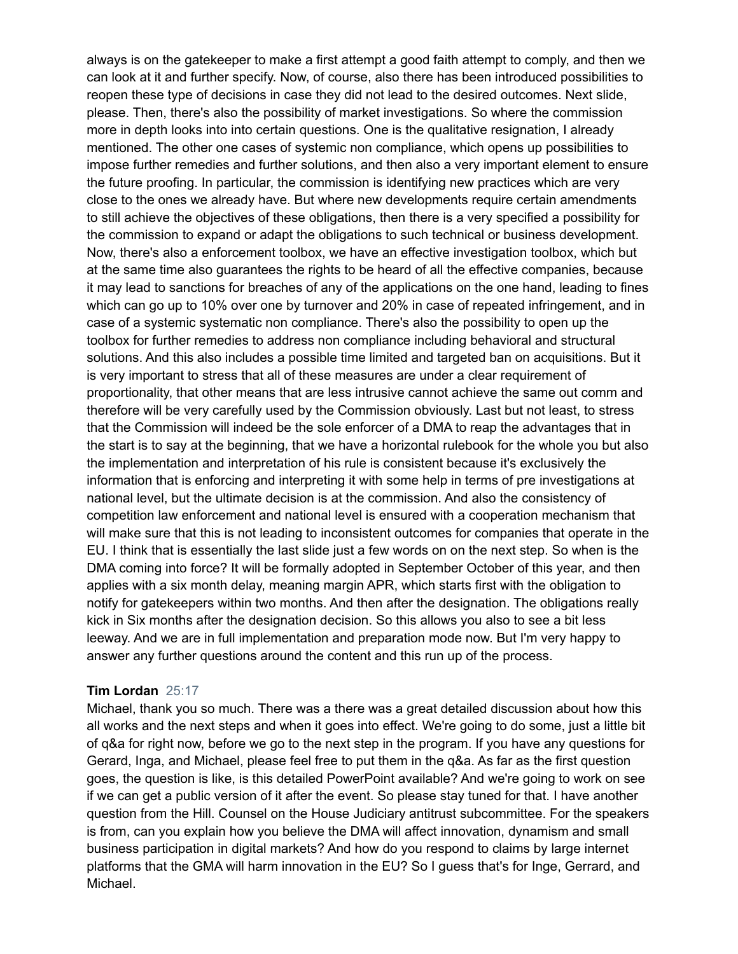always is on the gatekeeper to make a first attempt a good faith attempt to comply, and then we can look at it and further specify. Now, of course, also there has been introduced possibilities to reopen these type of decisions in case they did not lead to the desired outcomes. Next slide, please. Then, there's also the possibility of market investigations. So where the commission more in depth looks into into certain questions. One is the qualitative resignation, I already mentioned. The other one cases of systemic non compliance, which opens up possibilities to impose further remedies and further solutions, and then also a very important element to ensure the future proofing. In particular, the commission is identifying new practices which are very close to the ones we already have. But where new developments require certain amendments to still achieve the objectives of these obligations, then there is a very specified a possibility for the commission to expand or adapt the obligations to such technical or business development. Now, there's also a enforcement toolbox, we have an effective investigation toolbox, which but at the same time also guarantees the rights to be heard of all the effective companies, because it may lead to sanctions for breaches of any of the applications on the one hand, leading to fines which can go up to 10% over one by turnover and 20% in case of repeated infringement, and in case of a systemic systematic non compliance. There's also the possibility to open up the toolbox for further remedies to address non compliance including behavioral and structural solutions. And this also includes a possible time limited and targeted ban on acquisitions. But it is very important to stress that all of these measures are under a clear requirement of proportionality, that other means that are less intrusive cannot achieve the same out comm and therefore will be very carefully used by the Commission obviously. Last but not least, to stress that the Commission will indeed be the sole enforcer of a DMA to reap the advantages that in the start is to say at the beginning, that we have a horizontal rulebook for the whole you but also the implementation and interpretation of his rule is consistent because it's exclusively the information that is enforcing and interpreting it with some help in terms of pre investigations at national level, but the ultimate decision is at the commission. And also the consistency of competition law enforcement and national level is ensured with a cooperation mechanism that will make sure that this is not leading to inconsistent outcomes for companies that operate in the EU. I think that is essentially the last slide just a few words on on the next step. So when is the DMA coming into force? It will be formally adopted in September October of this year, and then applies with a six month delay, meaning margin APR, which starts first with the obligation to notify for gatekeepers within two months. And then after the designation. The obligations really kick in Six months after the designation decision. So this allows you also to see a bit less leeway. And we are in full implementation and preparation mode now. But I'm very happy to answer any further questions around the content and this run up of the process.

#### **Tim Lordan** 25:17

Michael, thank you so much. There was a there was a great detailed discussion about how this all works and the next steps and when it goes into effect. We're going to do some, just a little bit of q&a for right now, before we go to the next step in the program. If you have any questions for Gerard, Inga, and Michael, please feel free to put them in the q&a. As far as the first question goes, the question is like, is this detailed PowerPoint available? And we're going to work on see if we can get a public version of it after the event. So please stay tuned for that. I have another question from the Hill. Counsel on the House Judiciary antitrust subcommittee. For the speakers is from, can you explain how you believe the DMA will affect innovation, dynamism and small business participation in digital markets? And how do you respond to claims by large internet platforms that the GMA will harm innovation in the EU? So I guess that's for Inge, Gerrard, and Michael.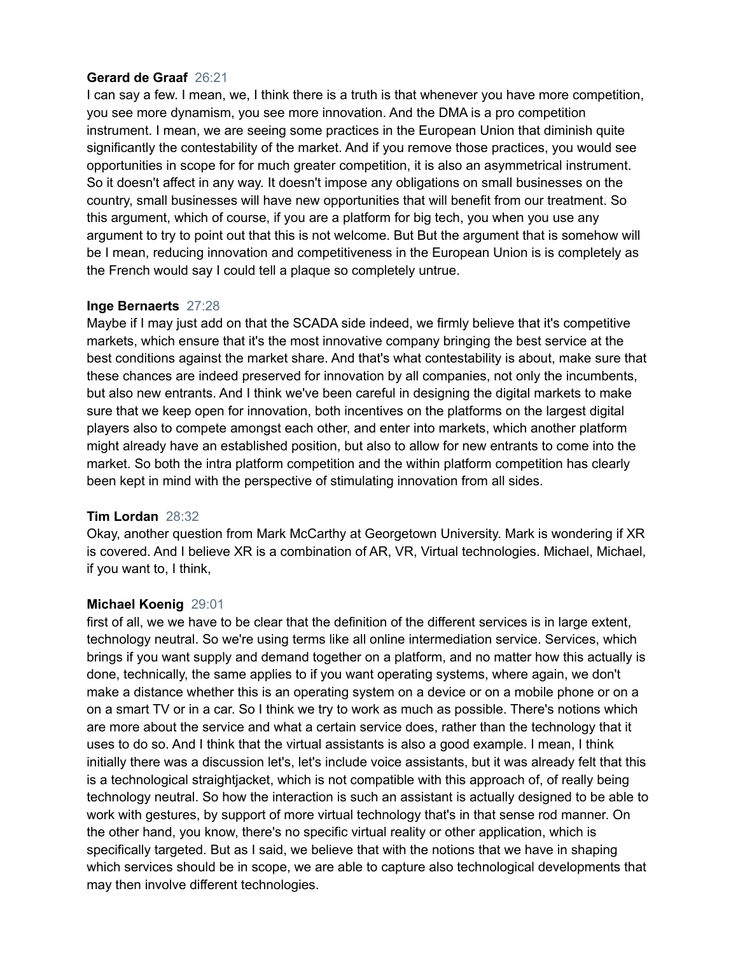## **Gerard de Graaf** 26:21

I can say a few. I mean, we, I think there is a truth is that whenever you have more competition, you see more dynamism, you see more innovation. And the DMA is a pro competition instrument. I mean, we are seeing some practices in the European Union that diminish quite significantly the contestability of the market. And if you remove those practices, you would see opportunities in scope for for much greater competition, it is also an asymmetrical instrument. So it doesn't affect in any way. It doesn't impose any obligations on small businesses on the country, small businesses will have new opportunities that will benefit from our treatment. So this argument, which of course, if you are a platform for big tech, you when you use any argument to try to point out that this is not welcome. But But the argument that is somehow will be I mean, reducing innovation and competitiveness in the European Union is is completely as the French would say I could tell a plaque so completely untrue.

## **Inge Bernaerts** 27:28

Maybe if I may just add on that the SCADA side indeed, we firmly believe that it's competitive markets, which ensure that it's the most innovative company bringing the best service at the best conditions against the market share. And that's what contestability is about, make sure that these chances are indeed preserved for innovation by all companies, not only the incumbents, but also new entrants. And I think we've been careful in designing the digital markets to make sure that we keep open for innovation, both incentives on the platforms on the largest digital players also to compete amongst each other, and enter into markets, which another platform might already have an established position, but also to allow for new entrants to come into the market. So both the intra platform competition and the within platform competition has clearly been kept in mind with the perspective of stimulating innovation from all sides.

## **Tim Lordan** 28:32

Okay, another question from Mark McCarthy at Georgetown University. Mark is wondering if XR is covered. And I believe XR is a combination of AR, VR, Virtual technologies. Michael, Michael, if you want to, I think,

## **Michael Koenig** 29:01

first of all, we we have to be clear that the definition of the different services is in large extent, technology neutral. So we're using terms like all online intermediation service. Services, which brings if you want supply and demand together on a platform, and no matter how this actually is done, technically, the same applies to if you want operating systems, where again, we don't make a distance whether this is an operating system on a device or on a mobile phone or on a on a smart TV or in a car. So I think we try to work as much as possible. There's notions which are more about the service and what a certain service does, rather than the technology that it uses to do so. And I think that the virtual assistants is also a good example. I mean, I think initially there was a discussion let's, let's include voice assistants, but it was already felt that this is a technological straightjacket, which is not compatible with this approach of, of really being technology neutral. So how the interaction is such an assistant is actually designed to be able to work with gestures, by support of more virtual technology that's in that sense rod manner. On the other hand, you know, there's no specific virtual reality or other application, which is specifically targeted. But as I said, we believe that with the notions that we have in shaping which services should be in scope, we are able to capture also technological developments that may then involve different technologies.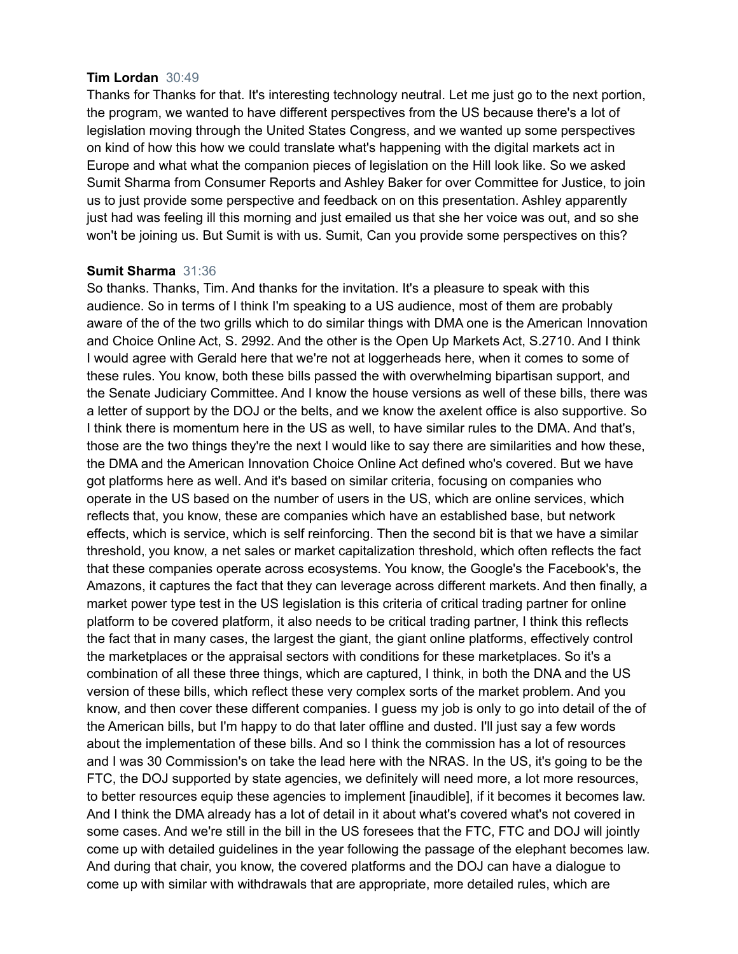#### **Tim Lordan** 30:49

Thanks for Thanks for that. It's interesting technology neutral. Let me just go to the next portion, the program, we wanted to have different perspectives from the US because there's a lot of legislation moving through the United States Congress, and we wanted up some perspectives on kind of how this how we could translate what's happening with the digital markets act in Europe and what what the companion pieces of legislation on the Hill look like. So we asked Sumit Sharma from Consumer Reports and Ashley Baker for over Committee for Justice, to join us to just provide some perspective and feedback on on this presentation. Ashley apparently just had was feeling ill this morning and just emailed us that she her voice was out, and so she won't be joining us. But Sumit is with us. Sumit, Can you provide some perspectives on this?

#### **Sumit Sharma** 31:36

So thanks. Thanks, Tim. And thanks for the invitation. It's a pleasure to speak with this audience. So in terms of I think I'm speaking to a US audience, most of them are probably aware of the of the two grills which to do similar things with DMA one is the American Innovation and Choice Online Act, S. 2992. And the other is the Open Up Markets Act, S.2710. And I think I would agree with Gerald here that we're not at loggerheads here, when it comes to some of these rules. You know, both these bills passed the with overwhelming bipartisan support, and the Senate Judiciary Committee. And I know the house versions as well of these bills, there was a letter of support by the DOJ or the belts, and we know the axelent office is also supportive. So I think there is momentum here in the US as well, to have similar rules to the DMA. And that's, those are the two things they're the next I would like to say there are similarities and how these, the DMA and the American Innovation Choice Online Act defined who's covered. But we have got platforms here as well. And it's based on similar criteria, focusing on companies who operate in the US based on the number of users in the US, which are online services, which reflects that, you know, these are companies which have an established base, but network effects, which is service, which is self reinforcing. Then the second bit is that we have a similar threshold, you know, a net sales or market capitalization threshold, which often reflects the fact that these companies operate across ecosystems. You know, the Google's the Facebook's, the Amazons, it captures the fact that they can leverage across different markets. And then finally, a market power type test in the US legislation is this criteria of critical trading partner for online platform to be covered platform, it also needs to be critical trading partner, I think this reflects the fact that in many cases, the largest the giant, the giant online platforms, effectively control the marketplaces or the appraisal sectors with conditions for these marketplaces. So it's a combination of all these three things, which are captured, I think, in both the DNA and the US version of these bills, which reflect these very complex sorts of the market problem. And you know, and then cover these different companies. I guess my job is only to go into detail of the of the American bills, but I'm happy to do that later offline and dusted. I'll just say a few words about the implementation of these bills. And so I think the commission has a lot of resources and I was 30 Commission's on take the lead here with the NRAS. In the US, it's going to be the FTC, the DOJ supported by state agencies, we definitely will need more, a lot more resources, to better resources equip these agencies to implement [inaudible], if it becomes it becomes law. And I think the DMA already has a lot of detail in it about what's covered what's not covered in some cases. And we're still in the bill in the US foresees that the FTC, FTC and DOJ will jointly come up with detailed guidelines in the year following the passage of the elephant becomes law. And during that chair, you know, the covered platforms and the DOJ can have a dialogue to come up with similar with withdrawals that are appropriate, more detailed rules, which are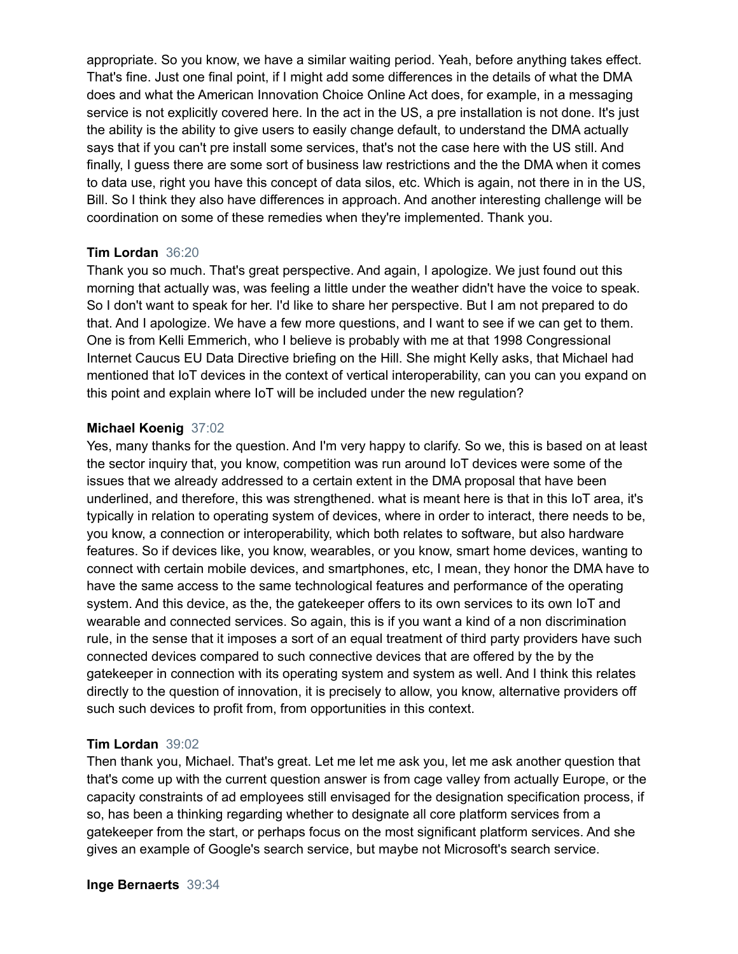appropriate. So you know, we have a similar waiting period. Yeah, before anything takes effect. That's fine. Just one final point, if I might add some differences in the details of what the DMA does and what the American Innovation Choice Online Act does, for example, in a messaging service is not explicitly covered here. In the act in the US, a pre installation is not done. It's just the ability is the ability to give users to easily change default, to understand the DMA actually says that if you can't pre install some services, that's not the case here with the US still. And finally, I guess there are some sort of business law restrictions and the the DMA when it comes to data use, right you have this concept of data silos, etc. Which is again, not there in in the US, Bill. So I think they also have differences in approach. And another interesting challenge will be coordination on some of these remedies when they're implemented. Thank you.

#### **Tim Lordan** 36:20

Thank you so much. That's great perspective. And again, I apologize. We just found out this morning that actually was, was feeling a little under the weather didn't have the voice to speak. So I don't want to speak for her. I'd like to share her perspective. But I am not prepared to do that. And I apologize. We have a few more questions, and I want to see if we can get to them. One is from Kelli Emmerich, who I believe is probably with me at that 1998 Congressional Internet Caucus EU Data Directive briefing on the Hill. She might Kelly asks, that Michael had mentioned that IoT devices in the context of vertical interoperability, can you can you expand on this point and explain where IoT will be included under the new regulation?

#### **Michael Koenig** 37:02

Yes, many thanks for the question. And I'm very happy to clarify. So we, this is based on at least the sector inquiry that, you know, competition was run around IoT devices were some of the issues that we already addressed to a certain extent in the DMA proposal that have been underlined, and therefore, this was strengthened. what is meant here is that in this IoT area, it's typically in relation to operating system of devices, where in order to interact, there needs to be, you know, a connection or interoperability, which both relates to software, but also hardware features. So if devices like, you know, wearables, or you know, smart home devices, wanting to connect with certain mobile devices, and smartphones, etc, I mean, they honor the DMA have to have the same access to the same technological features and performance of the operating system. And this device, as the, the gatekeeper offers to its own services to its own IoT and wearable and connected services. So again, this is if you want a kind of a non discrimination rule, in the sense that it imposes a sort of an equal treatment of third party providers have such connected devices compared to such connective devices that are offered by the by the gatekeeper in connection with its operating system and system as well. And I think this relates directly to the question of innovation, it is precisely to allow, you know, alternative providers off such such devices to profit from, from opportunities in this context.

#### **Tim Lordan** 39:02

Then thank you, Michael. That's great. Let me let me ask you, let me ask another question that that's come up with the current question answer is from cage valley from actually Europe, or the capacity constraints of ad employees still envisaged for the designation specification process, if so, has been a thinking regarding whether to designate all core platform services from a gatekeeper from the start, or perhaps focus on the most significant platform services. And she gives an example of Google's search service, but maybe not Microsoft's search service.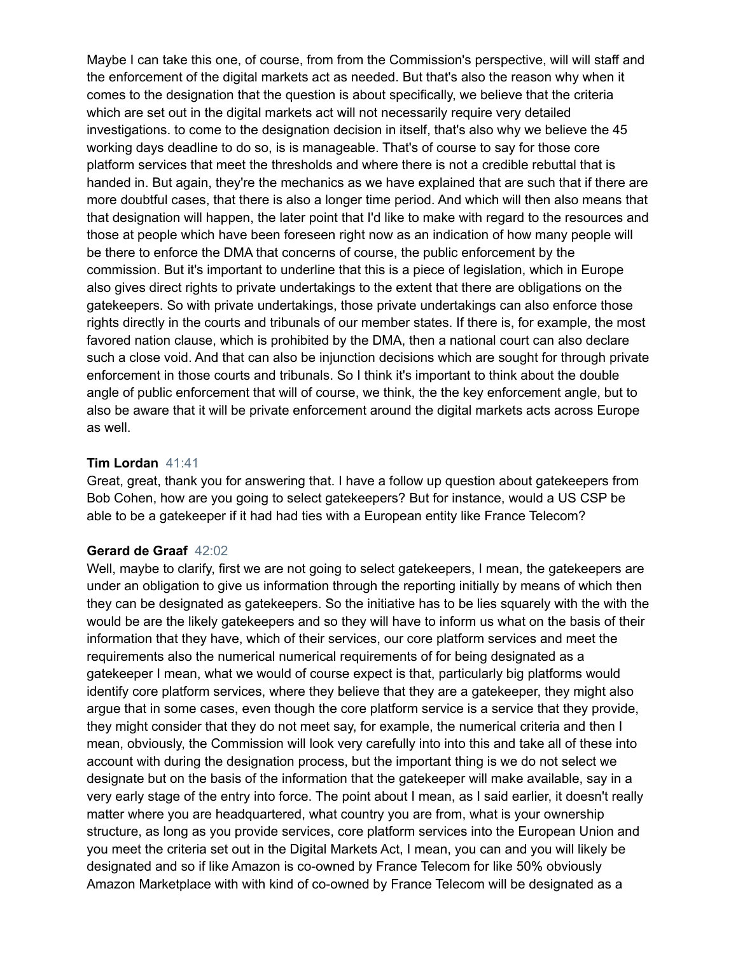Maybe I can take this one, of course, from from the Commission's perspective, will will staff and the enforcement of the digital markets act as needed. But that's also the reason why when it comes to the designation that the question is about specifically, we believe that the criteria which are set out in the digital markets act will not necessarily require very detailed investigations. to come to the designation decision in itself, that's also why we believe the 45 working days deadline to do so, is is manageable. That's of course to say for those core platform services that meet the thresholds and where there is not a credible rebuttal that is handed in. But again, they're the mechanics as we have explained that are such that if there are more doubtful cases, that there is also a longer time period. And which will then also means that that designation will happen, the later point that I'd like to make with regard to the resources and those at people which have been foreseen right now as an indication of how many people will be there to enforce the DMA that concerns of course, the public enforcement by the commission. But it's important to underline that this is a piece of legislation, which in Europe also gives direct rights to private undertakings to the extent that there are obligations on the gatekeepers. So with private undertakings, those private undertakings can also enforce those rights directly in the courts and tribunals of our member states. If there is, for example, the most favored nation clause, which is prohibited by the DMA, then a national court can also declare such a close void. And that can also be injunction decisions which are sought for through private enforcement in those courts and tribunals. So I think it's important to think about the double angle of public enforcement that will of course, we think, the the key enforcement angle, but to also be aware that it will be private enforcement around the digital markets acts across Europe as well.

#### **Tim Lordan** 41:41

Great, great, thank you for answering that. I have a follow up question about gatekeepers from Bob Cohen, how are you going to select gatekeepers? But for instance, would a US CSP be able to be a gatekeeper if it had had ties with a European entity like France Telecom?

#### **Gerard de Graaf** 42:02

Well, maybe to clarify, first we are not going to select gatekeepers, I mean, the gatekeepers are under an obligation to give us information through the reporting initially by means of which then they can be designated as gatekeepers. So the initiative has to be lies squarely with the with the would be are the likely gatekeepers and so they will have to inform us what on the basis of their information that they have, which of their services, our core platform services and meet the requirements also the numerical numerical requirements of for being designated as a gatekeeper I mean, what we would of course expect is that, particularly big platforms would identify core platform services, where they believe that they are a gatekeeper, they might also argue that in some cases, even though the core platform service is a service that they provide, they might consider that they do not meet say, for example, the numerical criteria and then I mean, obviously, the Commission will look very carefully into into this and take all of these into account with during the designation process, but the important thing is we do not select we designate but on the basis of the information that the gatekeeper will make available, say in a very early stage of the entry into force. The point about I mean, as I said earlier, it doesn't really matter where you are headquartered, what country you are from, what is your ownership structure, as long as you provide services, core platform services into the European Union and you meet the criteria set out in the Digital Markets Act, I mean, you can and you will likely be designated and so if like Amazon is co-owned by France Telecom for like 50% obviously Amazon Marketplace with with kind of co-owned by France Telecom will be designated as a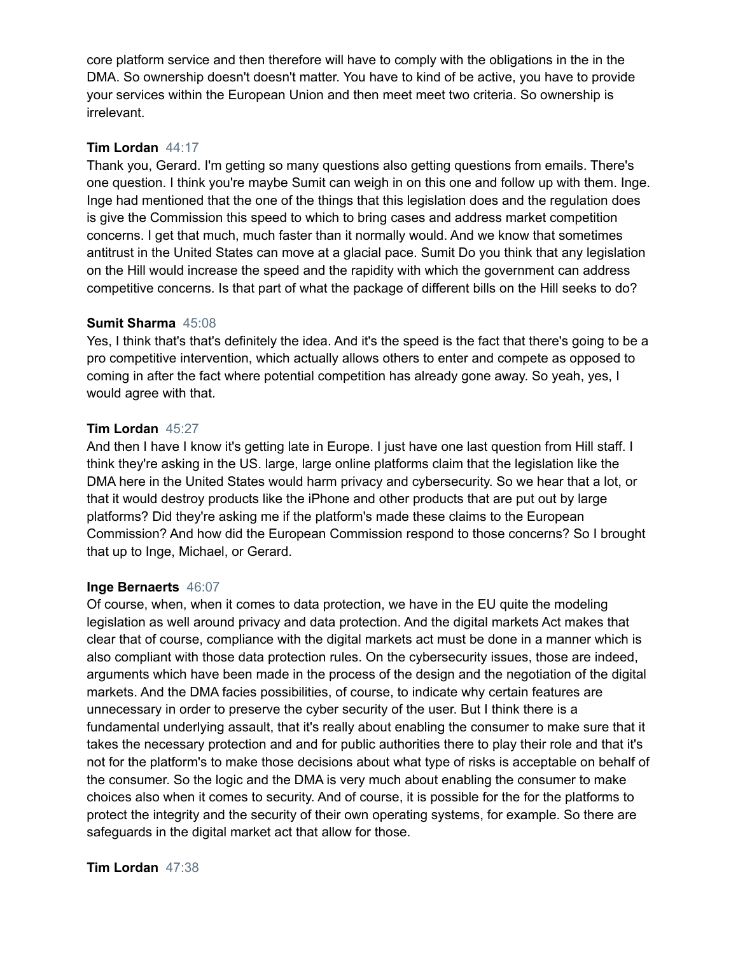core platform service and then therefore will have to comply with the obligations in the in the DMA. So ownership doesn't doesn't matter. You have to kind of be active, you have to provide your services within the European Union and then meet meet two criteria. So ownership is irrelevant.

## **Tim Lordan** 44:17

Thank you, Gerard. I'm getting so many questions also getting questions from emails. There's one question. I think you're maybe Sumit can weigh in on this one and follow up with them. Inge. Inge had mentioned that the one of the things that this legislation does and the regulation does is give the Commission this speed to which to bring cases and address market competition concerns. I get that much, much faster than it normally would. And we know that sometimes antitrust in the United States can move at a glacial pace. Sumit Do you think that any legislation on the Hill would increase the speed and the rapidity with which the government can address competitive concerns. Is that part of what the package of different bills on the Hill seeks to do?

## **Sumit Sharma** 45:08

Yes, I think that's that's definitely the idea. And it's the speed is the fact that there's going to be a pro competitive intervention, which actually allows others to enter and compete as opposed to coming in after the fact where potential competition has already gone away. So yeah, yes, I would agree with that.

## **Tim Lordan** 45:27

And then I have I know it's getting late in Europe. I just have one last question from Hill staff. I think they're asking in the US. large, large online platforms claim that the legislation like the DMA here in the United States would harm privacy and cybersecurity. So we hear that a lot, or that it would destroy products like the iPhone and other products that are put out by large platforms? Did they're asking me if the platform's made these claims to the European Commission? And how did the European Commission respond to those concerns? So I brought that up to Inge, Michael, or Gerard.

## **Inge Bernaerts** 46:07

Of course, when, when it comes to data protection, we have in the EU quite the modeling legislation as well around privacy and data protection. And the digital markets Act makes that clear that of course, compliance with the digital markets act must be done in a manner which is also compliant with those data protection rules. On the cybersecurity issues, those are indeed, arguments which have been made in the process of the design and the negotiation of the digital markets. And the DMA facies possibilities, of course, to indicate why certain features are unnecessary in order to preserve the cyber security of the user. But I think there is a fundamental underlying assault, that it's really about enabling the consumer to make sure that it takes the necessary protection and and for public authorities there to play their role and that it's not for the platform's to make those decisions about what type of risks is acceptable on behalf of the consumer. So the logic and the DMA is very much about enabling the consumer to make choices also when it comes to security. And of course, it is possible for the for the platforms to protect the integrity and the security of their own operating systems, for example. So there are safeguards in the digital market act that allow for those.

# **Tim Lordan** 47:38